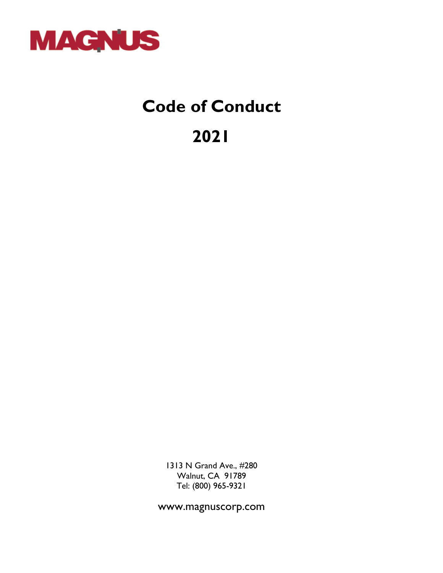

# **Code of Conduct**

**2021**

1313 N Grand Ave., #280 Walnut, CA 91789 Tel: (800) 965-9321

www.magnuscorp.com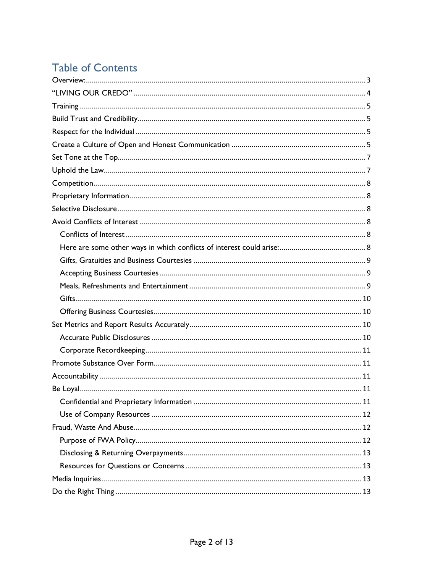# **Table of Contents**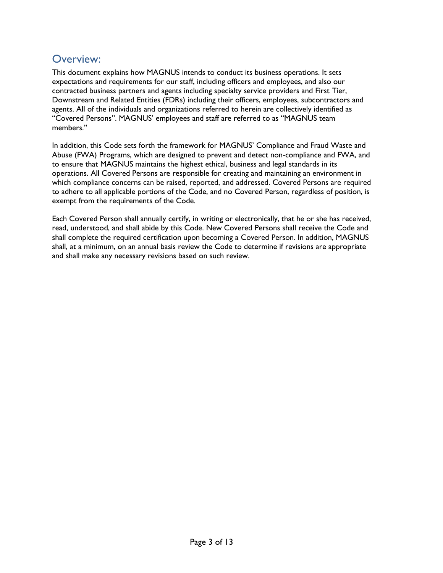### <span id="page-2-0"></span>Overview:

This document explains how MAGNUS intends to conduct its business operations. It sets expectations and requirements for our staff, including officers and employees, and also our contracted business partners and agents including specialty service providers and First Tier, Downstream and Related Entities (FDRs) including their officers, employees, subcontractors and agents. All of the individuals and organizations referred to herein are collectively identified as "Covered Persons". MAGNUS' employees and staff are referred to as "MAGNUS team members."

In addition, this Code sets forth the framework for MAGNUS' Compliance and Fraud Waste and Abuse (FWA) Programs, which are designed to prevent and detect non-compliance and FWA, and to ensure that MAGNUS maintains the highest ethical, business and legal standards in its operations. All Covered Persons are responsible for creating and maintaining an environment in which compliance concerns can be raised, reported, and addressed. Covered Persons are required to adhere to all applicable portions of the Code, and no Covered Person, regardless of position, is exempt from the requirements of the Code.

Each Covered Person shall annually certify, in writing or electronically, that he or she has received, read, understood, and shall abide by this Code. New Covered Persons shall receive the Code and shall complete the required certification upon becoming a Covered Person. In addition, MAGNUS shall, at a minimum, on an annual basis review the Code to determine if revisions are appropriate and shall make any necessary revisions based on such review.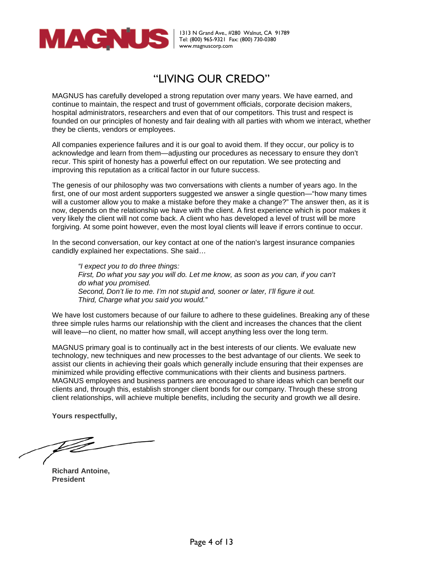

### "LIVING OUR CREDO"

<span id="page-3-0"></span>MAGNUS has carefully developed a strong reputation over many years. We have earned, and continue to maintain, the respect and trust of government officials, corporate decision makers, hospital administrators, researchers and even that of our competitors. This trust and respect is founded on our principles of honesty and fair dealing with all parties with whom we interact, whether they be clients, vendors or employees.

All companies experience failures and it is our goal to avoid them. If they occur, our policy is to acknowledge and learn from them—adjusting our procedures as necessary to ensure they don't recur. This spirit of honesty has a powerful effect on our reputation. We see protecting and improving this reputation as a critical factor in our future success.

The genesis of our philosophy was two conversations with clients a number of years ago. In the first, one of our most ardent supporters suggested we answer a single question—"how many times will a customer allow you to make a mistake before they make a change?" The answer then, as it is now, depends on the relationship we have with the client. A first experience which is poor makes it very likely the client will not come back. A client who has developed a level of trust will be more forgiving. At some point however, even the most loyal clients will leave if errors continue to occur.

In the second conversation, our key contact at one of the nation's largest insurance companies candidly explained her expectations. She said…

*"I expect you to do three things: First, Do what you say you will do. Let me know, as soon as you can, if you can't do what you promised. Second, Don't lie to me. I'm not stupid and, sooner or later, I'll figure it out. Third, Charge what you said you would."*

We have lost customers because of our failure to adhere to these guidelines. Breaking any of these three simple rules harms our relationship with the client and increases the chances that the client will leave—no client, no matter how small, will accept anything less over the long term.

MAGNUS primary goal is to continually act in the best interests of our clients. We evaluate new technology, new techniques and new processes to the best advantage of our clients. We seek to assist our clients in achieving their goals which generally include ensuring that their expenses are minimized while providing effective communications with their clients and business partners. MAGNUS employees and business partners are encouraged to share ideas which can benefit our clients and, through this, establish stronger client bonds for our company. Through these strong client relationships, will achieve multiple benefits, including the security and growth we all desire.

**Yours respectfully,**

ÞŹ

**Richard Antoine, President**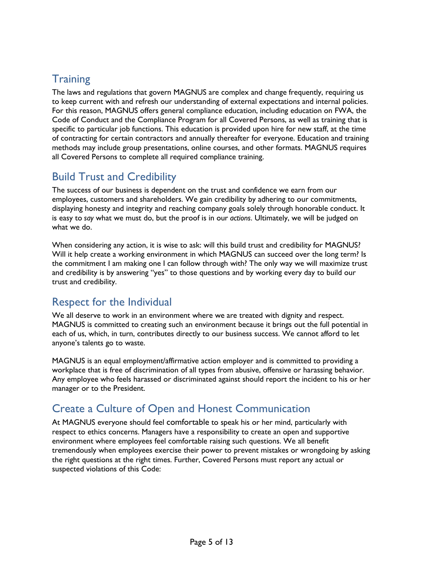# <span id="page-4-0"></span>**Training**

The laws and regulations that govern MAGNUS are complex and change frequently, requiring us to keep current with and refresh our understanding of external expectations and internal policies. For this reason, MAGNUS offers general compliance education, including education on FWA, the Code of Conduct and the Compliance Program for all Covered Persons, as well as training that is specific to particular job functions. This education is provided upon hire for new staff, at the time of contracting for certain contractors and annually thereafter for everyone. Education and training methods may include group presentations, online courses, and other formats. MAGNUS requires all Covered Persons to complete all required compliance training.

# <span id="page-4-1"></span>Build Trust and Credibility

The success of our business is dependent on the trust and confidence we earn from our employees, customers and shareholders. We gain credibility by adhering to our commitments, displaying honesty and integrity and reaching company goals solely through honorable conduct. It is easy to *say* what we must do, but the proof is in our *actions*. Ultimately, we will be judged on what we do.

When considering any action, it is wise to ask: will this build trust and credibility for MAGNUS? Will it help create a working environment in which MAGNUS can succeed over the long term? Is the commitment I am making one I can follow through with? The only way we will maximize trust and credibility is by answering "yes" to those questions and by working every day to build our trust and credibility.

### <span id="page-4-2"></span>Respect for the Individual

We all deserve to work in an environment where we are treated with dignity and respect. MAGNUS is committed to creating such an environment because it brings out the full potential in each of us, which, in turn, contributes directly to our business success. We cannot afford to let anyone's talents go to waste.

MAGNUS is an equal employment/affirmative action employer and is committed to providing a workplace that is free of discrimination of all types from abusive, offensive or harassing behavior. Any employee who feels harassed or discriminated against should report the incident to his or her manager or to the President.

# <span id="page-4-3"></span>Create a Culture of Open and Honest Communication

At MAGNUS everyone should feel comfortable to speak his or her mind, particularly with respect to ethics concerns. Managers have a responsibility to create an open and supportive environment where employees feel comfortable raising such questions. We all benefit tremendously when employees exercise their power to prevent mistakes or wrongdoing by asking the right questions at the right times. Further, Covered Persons must report any actual or suspected violations of this Code: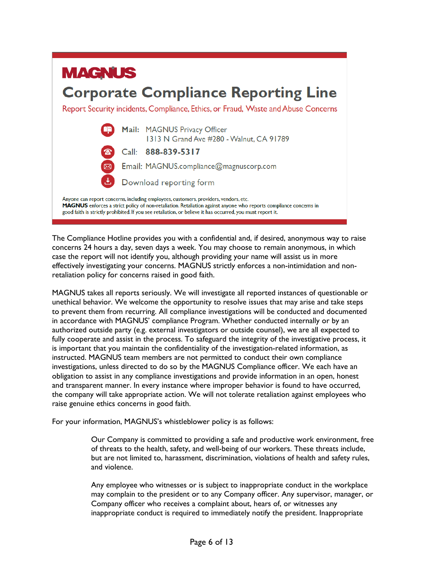

The Compliance Hotline provides you with a confidential and, if desired, anonymous way to raise concerns 24 hours a day, seven days a week. You may choose to remain anonymous, in which case the report will not identify you, although providing your name will assist us in more effectively investigating your concerns. MAGNUS strictly enforces a non-intimidation and nonretaliation policy for concerns raised in good faith.

MAGNUS takes all reports seriously. We will investigate all reported instances of questionable or unethical behavior. We welcome the opportunity to resolve issues that may arise and take steps to prevent them from recurring. All compliance investigations will be conducted and documented in accordance with MAGNUS' compliance Program. Whether conducted internally or by an authorized outside party (e.g. external investigators or outside counsel), we are all expected to fully cooperate and assist in the process. To safeguard the integrity of the investigative process, it is important that you maintain the confidentiality of the investigation-related information, as instructed. MAGNUS team members are not permitted to conduct their own compliance investigations, unless directed to do so by the MAGNUS Compliance officer. We each have an obligation to assist in any compliance investigations and provide information in an open, honest and transparent manner. In every instance where improper behavior is found to have occurred, the company will take appropriate action. We will not tolerate retaliation against employees who raise genuine ethics concerns in good faith.

For your information, MAGNUS's whistleblower policy is as follows:

Our Company is committed to providing a safe and productive work environment, free of threats to the health, safety, and well-being of our workers. These threats include, but are not limited to, harassment, discrimination, violations of health and safety rules, and violence.

Any employee who witnesses or is subject to inappropriate conduct in the workplace may complain to the president or to any Company officer. Any supervisor, manager, or Company officer who receives a complaint about, hears of, or witnesses any inappropriate conduct is required to immediately notify the president. Inappropriate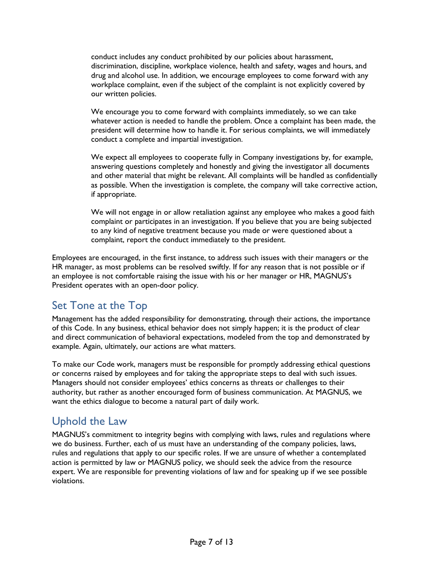conduct includes any conduct prohibited by our policies about harassment, discrimination, discipline, workplace violence, health and safety, wages and hours, and drug and alcohol use. In addition, we encourage employees to come forward with any workplace complaint, even if the subject of the complaint is not explicitly covered by our written policies.

We encourage you to come forward with complaints immediately, so we can take whatever action is needed to handle the problem. Once a complaint has been made, the president will determine how to handle it. For serious complaints, we will immediately conduct a complete and impartial investigation.

We expect all employees to cooperate fully in Company investigations by, for example, answering questions completely and honestly and giving the investigator all documents and other material that might be relevant. All complaints will be handled as confidentially as possible. When the investigation is complete, the company will take corrective action, if appropriate.

We will not engage in or allow retaliation against any employee who makes a good faith complaint or participates in an investigation. If you believe that you are being subjected to any kind of negative treatment because you made or were questioned about a complaint, report the conduct immediately to the president.

Employees are encouraged, in the first instance, to address such issues with their managers or the HR manager, as most problems can be resolved swiftly. If for any reason that is not possible or if an employee is not comfortable raising the issue with his or her manager or HR, MAGNUS's President operates with an open-door policy.

### <span id="page-6-0"></span>Set Tone at the Top

Management has the added responsibility for demonstrating, through their actions, the importance of this Code. In any business, ethical behavior does not simply happen; it is the product of clear and direct communication of behavioral expectations, modeled from the top and demonstrated by example. Again, ultimately, our actions are what matters.

To make our Code work, managers must be responsible for promptly addressing ethical questions or concerns raised by employees and for taking the appropriate steps to deal with such issues. Managers should not consider employees' ethics concerns as threats or challenges to their authority, but rather as another encouraged form of business communication. At MAGNUS, we want the ethics dialogue to become a natural part of daily work.

# <span id="page-6-1"></span>Uphold the Law

MAGNUS's commitment to integrity begins with complying with laws, rules and regulations where we do business. Further, each of us must have an understanding of the company policies, laws, rules and regulations that apply to our specific roles. If we are unsure of whether a contemplated action is permitted by law or MAGNUS policy, we should seek the advice from the resource expert. We are responsible for preventing violations of law and for speaking up if we see possible violations.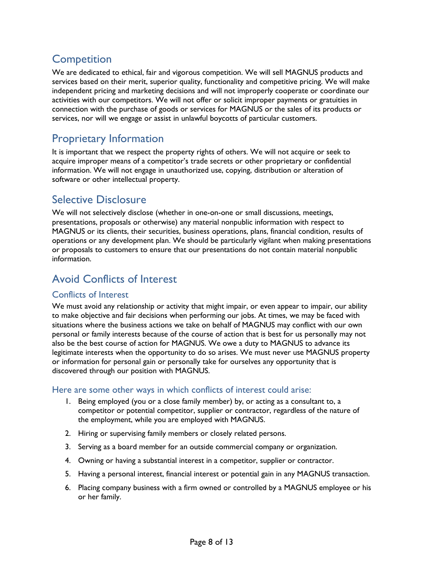# <span id="page-7-0"></span>**Competition**

We are dedicated to ethical, fair and vigorous competition. We will sell MAGNUS products and services based on their merit, superior quality, functionality and competitive pricing. We will make independent pricing and marketing decisions and will not improperly cooperate or coordinate our activities with our competitors. We will not offer or solicit improper payments or gratuities in connection with the purchase of goods or services for MAGNUS or the sales of its products or services, nor will we engage or assist in unlawful boycotts of particular customers.

# <span id="page-7-1"></span>Proprietary Information

It is important that we respect the property rights of others. We will not acquire or seek to acquire improper means of a competitor's trade secrets or other proprietary or confidential information. We will not engage in unauthorized use, copying, distribution or alteration of software or other intellectual property.

### <span id="page-7-2"></span>Selective Disclosure

We will not selectively disclose (whether in one-on-one or small discussions, meetings, presentations, proposals or otherwise) any material nonpublic information with respect to MAGNUS or its clients, their securities, business operations, plans, financial condition, results of operations or any development plan. We should be particularly vigilant when making presentations or proposals to customers to ensure that our presentations do not contain material nonpublic information.

# <span id="page-7-3"></span>Avoid Conflicts of Interest

#### <span id="page-7-4"></span>Conflicts of Interest

We must avoid any relationship or activity that might impair, or even appear to impair, our ability to make objective and fair decisions when performing our jobs. At times, we may be faced with situations where the business actions we take on behalf of MAGNUS may conflict with our own personal or family interests because of the course of action that is best for us personally may not also be the best course of action for MAGNUS. We owe a duty to MAGNUS to advance its legitimate interests when the opportunity to do so arises. We must never use MAGNUS property or information for personal gain or personally take for ourselves any opportunity that is discovered through our position with MAGNUS.

#### <span id="page-7-5"></span>Here are some other ways in which conflicts of interest could arise:

- 1. Being employed (you or a close family member) by, or acting as a consultant to, a competitor or potential competitor, supplier or contractor, regardless of the nature of the employment, while you are employed with MAGNUS.
- 2. Hiring or supervising family members or closely related persons.
- 3. Serving as a board member for an outside commercial company or organization.
- 4. Owning or having a substantial interest in a competitor, supplier or contractor.
- 5. Having a personal interest, financial interest or potential gain in any MAGNUS transaction.
- 6. Placing company business with a firm owned or controlled by a MAGNUS employee or his or her family.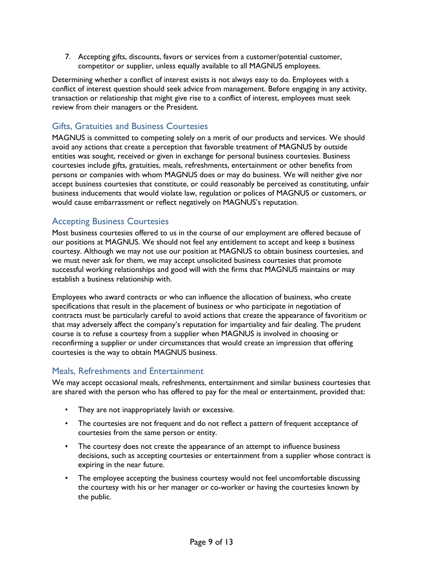7. Accepting gifts, discounts, favors or services from a customer/potential customer, competitor or supplier, unless equally available to all MAGNUS employees.

Determining whether a conflict of interest exists is not always easy to do. Employees with a conflict of interest question should seek advice from management. Before engaging in any activity, transaction or relationship that might give rise to a conflict of interest, employees must seek review from their managers or the President.

### <span id="page-8-0"></span>Gifts, Gratuities and Business Courtesies

MAGNUS is committed to competing solely on a merit of our products and services. We should avoid any actions that create a perception that favorable treatment of MAGNUS by outside entities was sought, received or given in exchange for personal business courtesies. Business courtesies include gifts, gratuities, meals, refreshments, entertainment or other benefits from persons or companies with whom MAGNUS does or may do business. We will neither give nor accept business courtesies that constitute, or could reasonably be perceived as constituting, unfair business inducements that would violate law, regulation or polices of MAGNUS or customers, or would cause embarrassment or reflect negatively on MAGNUS's reputation.

### <span id="page-8-1"></span>Accepting Business Courtesies

Most business courtesies offered to us in the course of our employment are offered because of our positions at MAGNUS. We should not feel any entitlement to accept and keep a business courtesy. Although we may not use our position at MAGNUS to obtain business courtesies, and we must never ask for them, we may accept unsolicited business courtesies that promote successful working relationships and good will with the firms that MAGNUS maintains or may establish a business relationship with.

Employees who award contracts or who can influence the allocation of business, who create specifications that result in the placement of business or who participate in negotiation of contracts must be particularly careful to avoid actions that create the appearance of favoritism or that may adversely affect the company's reputation for impartiality and fair dealing. The prudent course is to refuse a courtesy from a supplier when MAGNUS is involved in choosing or reconfirming a supplier or under circumstances that would create an impression that offering courtesies is the way to obtain MAGNUS business.

#### <span id="page-8-2"></span>Meals, Refreshments and Entertainment

We may accept occasional meals, refreshments, entertainment and similar business courtesies that are shared with the person who has offered to pay for the meal or entertainment, provided that:

- They are not inappropriately lavish or excessive.
- The courtesies are not frequent and do not reflect a pattern of frequent acceptance of courtesies from the same person or entity.
- The courtesy does not create the appearance of an attempt to influence business decisions, such as accepting courtesies or entertainment from a supplier whose contract is expiring in the near future.
- The employee accepting the business courtesy would not feel uncomfortable discussing the courtesy with his or her manager or co-worker or having the courtesies known by the public.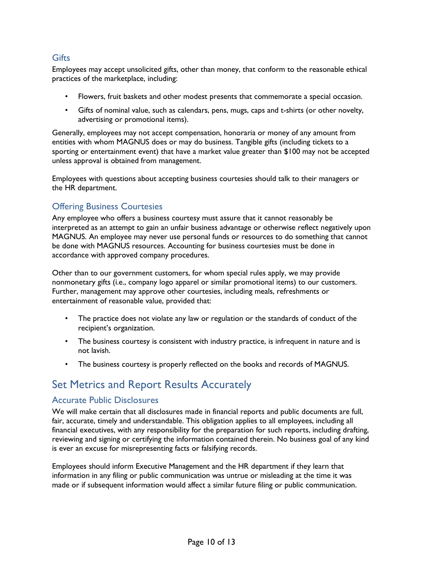#### <span id="page-9-0"></span>**Gifts**

Employees may accept unsolicited gifts, other than money, that conform to the reasonable ethical practices of the marketplace, including:

- Flowers, fruit baskets and other modest presents that commemorate a special occasion.
- Gifts of nominal value, such as calendars, pens, mugs, caps and t-shirts (or other novelty, advertising or promotional items).

Generally, employees may not accept compensation, honoraria or money of any amount from entities with whom MAGNUS does or may do business. Tangible gifts (including tickets to a sporting or entertainment event) that have a market value greater than \$100 may not be accepted unless approval is obtained from management.

Employees with questions about accepting business courtesies should talk to their managers or the HR department.

#### <span id="page-9-1"></span>Offering Business Courtesies

Any employee who offers a business courtesy must assure that it cannot reasonably be interpreted as an attempt to gain an unfair business advantage or otherwise reflect negatively upon MAGNUS. An employee may never use personal funds or resources to do something that cannot be done with MAGNUS resources. Accounting for business courtesies must be done in accordance with approved company procedures.

Other than to our government customers, for whom special rules apply, we may provide nonmonetary gifts (i.e., company logo apparel or similar promotional items) to our customers. Further, management may approve other courtesies, including meals, refreshments or entertainment of reasonable value, provided that:

- The practice does not violate any law or regulation or the standards of conduct of the recipient's organization.
- The business courtesy is consistent with industry practice, is infrequent in nature and is not lavish.
- The business courtesy is properly reflected on the books and records of MAGNUS.

### <span id="page-9-2"></span>Set Metrics and Report Results Accurately

#### <span id="page-9-3"></span>Accurate Public Disclosures

We will make certain that all disclosures made in financial reports and public documents are full, fair, accurate, timely and understandable. This obligation applies to all employees, including all financial executives, with any responsibility for the preparation for such reports, including drafting, reviewing and signing or certifying the information contained therein. No business goal of any kind is ever an excuse for misrepresenting facts or falsifying records.

Employees should inform Executive Management and the HR department if they learn that information in any filing or public communication was untrue or misleading at the time it was made or if subsequent information would affect a similar future filing or public communication.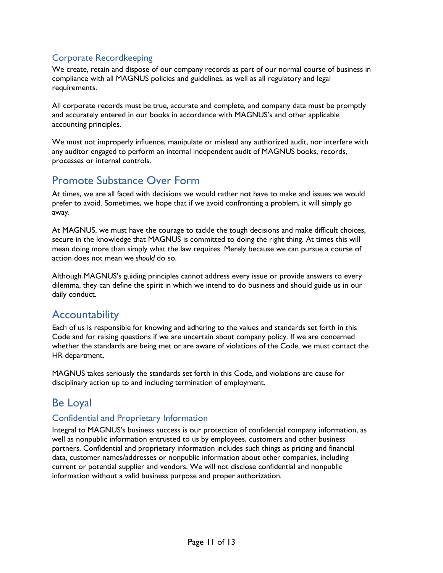### <span id="page-10-0"></span>Corporate Recordkeeping

We create, retain and dispose of our company records as part of our normal course of business in compliance with all MAGNUS policies and guidelines, as well as all regulatory and legal requirements.

All corporate records must be true, accurate and complete, and company data must be promptly and accurately entered in our books in accordance with MAGNUS's and other applicable accounting principles.

We must not improperly influence, manipulate or mislead any authorized audit, nor interfere with any auditor engaged to perform an internal independent audit of MAGNUS books, records, processes or internal controls.

### <span id="page-10-1"></span>Promote Substance Over Form

At times, we are all faced with decisions we would rather not have to make and issues we would prefer to avoid. Sometimes, we hope that if we avoid confronting a problem, it will simply go away.

At MAGNUS, we must have the courage to tackle the tough decisions and make difficult choices, secure in the knowledge that MAGNUS is committed to doing the right thing. At times this will mean doing more than simply what the law requires. Merely because we can pursue a course of action does not mean we *should* do so.

Although MAGNUS's guiding principles cannot address every issue or provide answers to every dilemma, they can define the spirit in which we intend to do business and should guide us in our daily conduct.

### <span id="page-10-2"></span>Accountability

Each of us is responsible for knowing and adhering to the values and standards set forth in this Code and for raising questions if we are uncertain about company policy. If we are concerned whether the standards are being met or are aware of violations of the Code, we must contact the HR department.

MAGNUS takes seriously the standards set forth in this Code, and violations are cause for disciplinary action up to and including termination of employment.

### <span id="page-10-3"></span>Be Loyal

#### <span id="page-10-4"></span>Confidential and Proprietary Information

Integral to MAGNUS's business success is our protection of confidential company information, as well as nonpublic information entrusted to us by employees, customers and other business partners. Confidential and proprietary information includes such things as pricing and financial data, customer names/addresses or nonpublic information about other companies, including current or potential supplier and vendors. We will not disclose confidential and nonpublic information without a valid business purpose and proper authorization.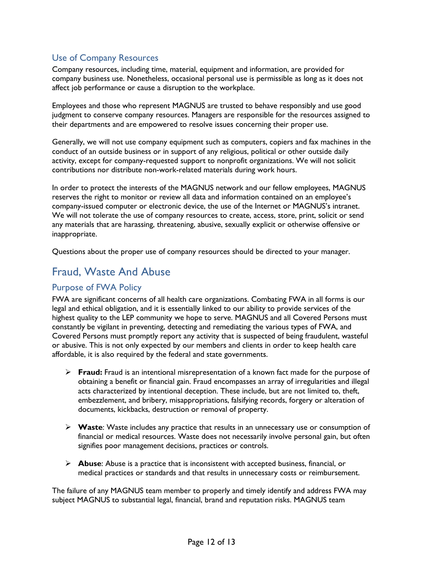### <span id="page-11-0"></span>Use of Company Resources

Company resources, including time, material, equipment and information, are provided for company business use. Nonetheless, occasional personal use is permissible as long as it does not affect job performance or cause a disruption to the workplace.

Employees and those who represent MAGNUS are trusted to behave responsibly and use good judgment to conserve company resources. Managers are responsible for the resources assigned to their departments and are empowered to resolve issues concerning their proper use.

Generally, we will not use company equipment such as computers, copiers and fax machines in the conduct of an outside business or in support of any religious, political or other outside daily activity, except for company-requested support to nonprofit organizations. We will not solicit contributions nor distribute non-work-related materials during work hours.

In order to protect the interests of the MAGNUS network and our fellow employees, MAGNUS reserves the right to monitor or review all data and information contained on an employee's company-issued computer or electronic device, the use of the Internet or MAGNUS's intranet. We will not tolerate the use of company resources to create, access, store, print, solicit or send any materials that are harassing, threatening, abusive, sexually explicit or otherwise offensive or inappropriate.

Questions about the proper use of company resources should be directed to your manager.

### <span id="page-11-1"></span>Fraud, Waste And Abuse

#### <span id="page-11-2"></span>Purpose of FWA Policy

FWA are significant concerns of all health care organizations. Combating FWA in all forms is our legal and ethical obligation, and it is essentially linked to our ability to provide services of the highest quality to the LEP community we hope to serve. MAGNUS and all Covered Persons must constantly be vigilant in preventing, detecting and remediating the various types of FWA, and Covered Persons must promptly report any activity that is suspected of being fraudulent, wasteful or abusive. This is not only expected by our members and clients in order to keep health care affordable, it is also required by the federal and state governments.

- **Fraud:** Fraud is an intentional misrepresentation of a known fact made for the purpose of obtaining a benefit or financial gain. Fraud encompasses an array of irregularities and illegal acts characterized by intentional deception. These include, but are not limited to, theft, embezzlement, and bribery, misappropriations, falsifying records, forgery or alteration of documents, kickbacks, destruction or removal of property.
- **Waste**: Waste includes any practice that results in an unnecessary use or consumption of financial or medical resources. Waste does not necessarily involve personal gain, but often signifies poor management decisions, practices or controls.
- **Abuse**: Abuse is a practice that is inconsistent with accepted business, financial, or medical practices or standards and that results in unnecessary costs or reimbursement.

The failure of any MAGNUS team member to properly and timely identify and address FWA may subject MAGNUS to substantial legal, financial, brand and reputation risks. MAGNUS team